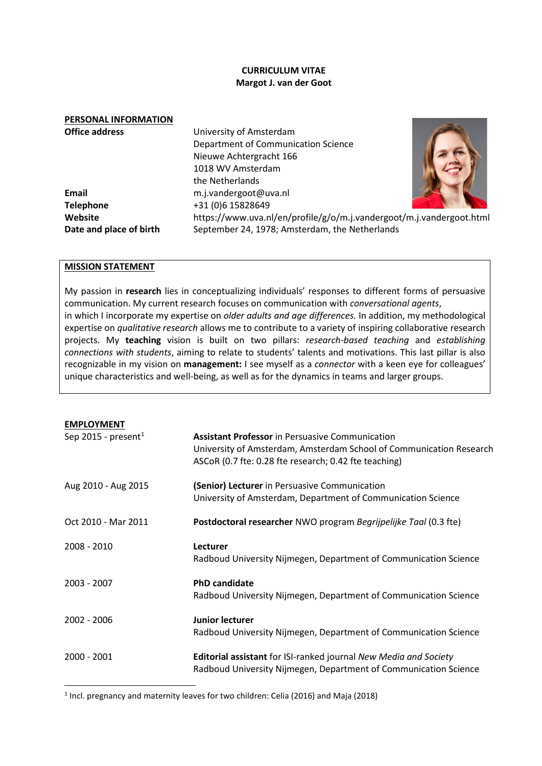## **CURRICULUM VITAE Margot J. van der Goot**

## **PERSONAL INFORMATION Office address** University of Amsterdam Department of Communication Science Nieuwe Achtergracht 166 1018 WV Amsterdam the Netherlands **Email** m.j.vandergoot@uva.nl **Telephone** +31 (0)6 15828649 **Website** https://www.uva.nl/en/profile/g/o/m.j.vandergoot/m.j.vandergoot.html **Date and place of birth** September 24, 1978; Amsterdam, the Netherlands



### **MISSION STATEMENT**

My passion in **research** lies in conceptualizing individuals' responses to different forms of persuasive communication. My current research focuses on communication with *conversational agents*, in which I incorporate my expertise on *older adults and age differences.* In addition, my methodological expertise on *qualitative research* allows me to contribute to a variety of inspiring collaborative research projects. My **teaching** vision is built on two pillars: *research-based teaching* and *establishing connections with students*, aiming to relate to students' talents and motivations. This last pillar is also recognizable in my vision on **management:** I see myself as a *connector* with a keen eye for colleagues' unique characteristics and well-being, as well as for the dynamics in teams and larger groups.

# **EMPLOYMENT**

| Sep 2015 - present <sup>1</sup> | <b>Assistant Professor</b> in Persuasive Communication<br>University of Amsterdam, Amsterdam School of Communication Research<br>ASCoR (0.7 fte: 0.28 fte research; 0.42 fte teaching) |
|---------------------------------|----------------------------------------------------------------------------------------------------------------------------------------------------------------------------------------|
| Aug 2010 - Aug 2015             | (Senior) Lecturer in Persuasive Communication<br>University of Amsterdam, Department of Communication Science                                                                          |
| Oct 2010 - Mar 2011             | Postdoctoral researcher NWO program Begrijpelijke Taal (0.3 fte)                                                                                                                       |
| 2008 - 2010                     | <b>Lecturer</b><br>Radboud University Nijmegen, Department of Communication Science                                                                                                    |
| 2003 - 2007                     | <b>PhD candidate</b><br>Radboud University Nijmegen, Department of Communication Science                                                                                               |
| 2002 - 2006                     | <b>Junior lecturer</b><br>Radboud University Nijmegen, Department of Communication Science                                                                                             |
| 2000 - 2001                     | Editorial assistant for ISI-ranked journal New Media and Society<br>Radboud University Nijmegen, Department of Communication Science                                                   |

<span id="page-0-0"></span><sup>1</sup> Incl. pregnancy and maternity leaves for two children: Celia (2016) and Maja (2018)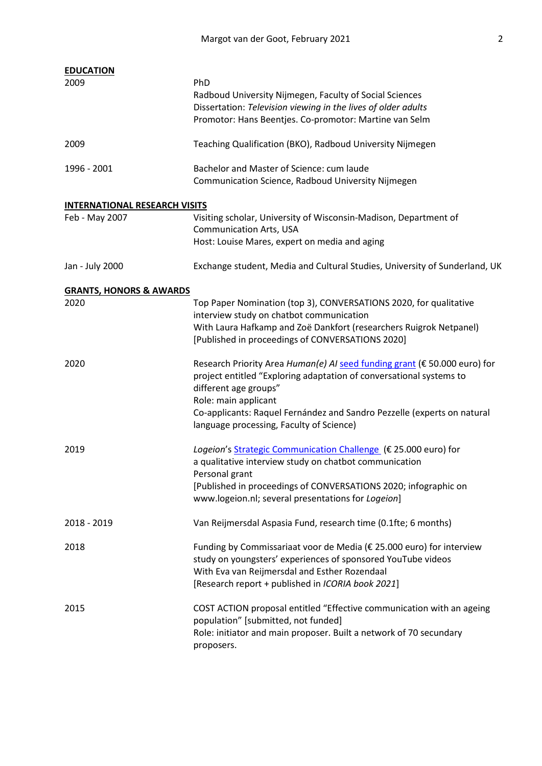| <b>EDUCATION</b>                     |                                                                                                                                                                                                                                                                                                                          |  |
|--------------------------------------|--------------------------------------------------------------------------------------------------------------------------------------------------------------------------------------------------------------------------------------------------------------------------------------------------------------------------|--|
| 2009                                 | PhD<br>Radboud University Nijmegen, Faculty of Social Sciences<br>Dissertation: Television viewing in the lives of older adults<br>Promotor: Hans Beentjes. Co-promotor: Martine van Selm                                                                                                                                |  |
| 2009                                 | Teaching Qualification (BKO), Radboud University Nijmegen                                                                                                                                                                                                                                                                |  |
| 1996 - 2001                          | Bachelor and Master of Science: cum laude<br>Communication Science, Radboud University Nijmegen                                                                                                                                                                                                                          |  |
| <b>INTERNATIONAL RESEARCH VISITS</b> |                                                                                                                                                                                                                                                                                                                          |  |
| Feb - May 2007                       | Visiting scholar, University of Wisconsin-Madison, Department of<br><b>Communication Arts, USA</b><br>Host: Louise Mares, expert on media and aging                                                                                                                                                                      |  |
| Jan - July 2000                      | Exchange student, Media and Cultural Studies, University of Sunderland, UK                                                                                                                                                                                                                                               |  |
| <b>GRANTS, HONORS &amp; AWARDS</b>   |                                                                                                                                                                                                                                                                                                                          |  |
| 2020                                 | Top Paper Nomination (top 3), CONVERSATIONS 2020, for qualitative<br>interview study on chatbot communication<br>With Laura Hafkamp and Zoë Dankfort (researchers Ruigrok Netpanel)<br>[Published in proceedings of CONVERSATIONS 2020]                                                                                  |  |
| 2020                                 | Research Priority Area Human(e) AI seed funding grant (€ 50.000 euro) for<br>project entitled "Exploring adaptation of conversational systems to<br>different age groups"<br>Role: main applicant<br>Co-applicants: Raquel Fernández and Sandro Pezzelle (experts on natural<br>language processing, Faculty of Science) |  |
| 2019                                 | Logeion's Strategic Communication Challenge (€ 25.000 euro) for<br>a qualitative interview study on chatbot communication<br>Personal grant<br>[Published in proceedings of CONVERSATIONS 2020; infographic on<br>www.logeion.nl; several presentations for Logeion]                                                     |  |
| 2018 - 2019                          | Van Reijmersdal Aspasia Fund, research time (0.1fte; 6 months)                                                                                                                                                                                                                                                           |  |
| 2018                                 | Funding by Commissariaat voor de Media (€ 25.000 euro) for interview<br>study on youngsters' experiences of sponsored YouTube videos<br>With Eva van Reijmersdal and Esther Rozendaal<br>[Research report + published in ICORIA book 2021]                                                                               |  |
| 2015                                 | COST ACTION proposal entitled "Effective communication with an ageing<br>population" [submitted, not funded]<br>Role: initiator and main proposer. Built a network of 70 secundary<br>proposers.                                                                                                                         |  |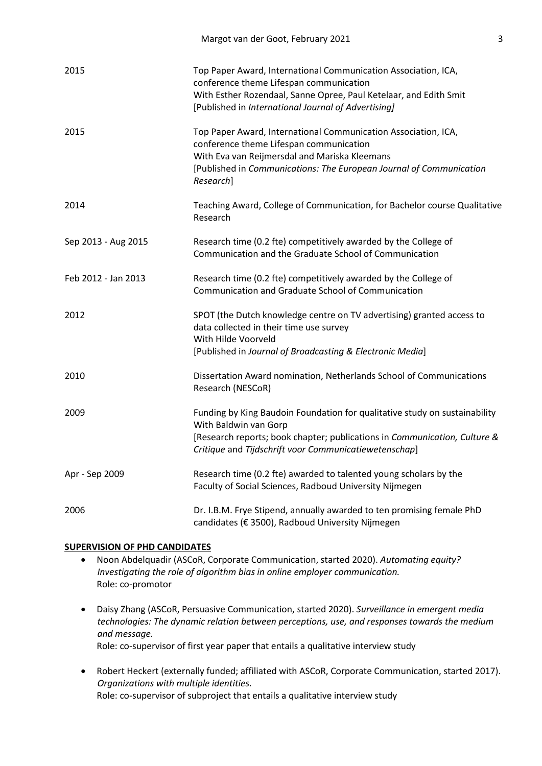| 2015                | Top Paper Award, International Communication Association, ICA,<br>conference theme Lifespan communication<br>With Esther Rozendaal, Sanne Opree, Paul Ketelaar, and Edith Smit<br>[Published in International Journal of Advertising]          |
|---------------------|------------------------------------------------------------------------------------------------------------------------------------------------------------------------------------------------------------------------------------------------|
| 2015                | Top Paper Award, International Communication Association, ICA,<br>conference theme Lifespan communication<br>With Eva van Reijmersdal and Mariska Kleemans<br>[Published in Communications: The European Journal of Communication<br>Research] |
| 2014                | Teaching Award, College of Communication, for Bachelor course Qualitative<br>Research                                                                                                                                                          |
| Sep 2013 - Aug 2015 | Research time (0.2 fte) competitively awarded by the College of<br>Communication and the Graduate School of Communication                                                                                                                      |
| Feb 2012 - Jan 2013 | Research time (0.2 fte) competitively awarded by the College of<br>Communication and Graduate School of Communication                                                                                                                          |
| 2012                | SPOT (the Dutch knowledge centre on TV advertising) granted access to<br>data collected in their time use survey<br>With Hilde Voorveld<br>[Published in Journal of Broadcasting & Electronic Media]                                           |
| 2010                | Dissertation Award nomination, Netherlands School of Communications<br>Research (NESCoR)                                                                                                                                                       |
| 2009                | Funding by King Baudoin Foundation for qualitative study on sustainability<br>With Baldwin van Gorp<br>[Research reports; book chapter; publications in Communication, Culture &<br>Critique and Tijdschrift voor Communicatiewetenschap]      |
| Apr - Sep 2009      | Research time (0.2 fte) awarded to talented young scholars by the<br>Faculty of Social Sciences, Radboud University Nijmegen                                                                                                                   |
| 2006                | Dr. I.B.M. Frye Stipend, annually awarded to ten promising female PhD<br>candidates (€ 3500), Radboud University Nijmegen                                                                                                                      |

Margot van der Goot, February 2021 3

## **SUPERVISION OF PHD CANDIDATES**

- Noon Abdelquadir (ASCoR, Corporate Communication, started 2020). *Automating equity? Investigating the role of algorithm bias in online employer communication.* Role: co-promotor
- Daisy Zhang (ASCoR, Persuasive Communication, started 2020). *Surveillance in emergent media technologies: The dynamic relation between perceptions, use, and responses towards the medium and message.*  Role: co-supervisor of first year paper that entails a qualitative interview study
- Robert Heckert (externally funded; affiliated with ASCoR, Corporate Communication, started 2017). *Organizations with multiple identities.* Role: co-supervisor of subproject that entails a qualitative interview study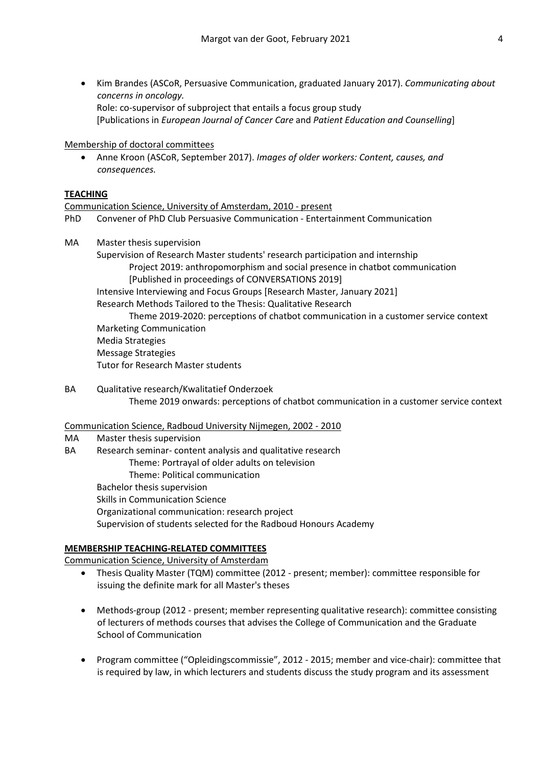• Kim Brandes (ASCoR, Persuasive Communication, graduated January 2017). *Communicating about concerns in oncology.*  Role: co-supervisor of subproject that entails a focus group study [Publications in *European Journal of Cancer Care* and *Patient Education and Counselling*]

## Membership of doctoral committees

• Anne Kroon (ASCoR, September 2017). *Images of older workers: Content, causes, and consequences.*

## **TEACHING**

## Communication Science, University of Amsterdam, 2010 - present

- PhD Convener of PhD Club Persuasive Communication Entertainment Communication
- MA Master thesis supervision

Supervision of Research Master students' research participation and internship Project 2019: anthropomorphism and social presence in chatbot communication [Published in proceedings of CONVERSATIONS 2019] Intensive Interviewing and Focus Groups [Research Master, January 2021]

Research Methods Tailored to the Thesis: Qualitative Research

Theme 2019-2020: perceptions of chatbot communication in a customer service context Marketing Communication Media Strategies Message Strategies Tutor for Research Master students

BA Qualitative research/Kwalitatief Onderzoek Theme 2019 onwards: perceptions of chatbot communication in a customer service context

## Communication Science, Radboud University Nijmegen, 2002 - 2010

- MA Master thesis supervision
- BA Research seminar- content analysis and qualitative research Theme: Portrayal of older adults on television Theme: Political communication
	- Bachelor thesis supervision Skills in Communication Science
	- Organizational communication: research project
	- Supervision of students selected for the Radboud Honours Academy

## **MEMBERSHIP TEACHING-RELATED COMMITTEES**

Communication Science, University of Amsterdam

- Thesis Quality Master (TQM) committee (2012 present; member): committee responsible for issuing the definite mark for all Master's theses
- Methods-group (2012 present; member representing qualitative research): committee consisting of lecturers of methods courses that advises the College of Communication and the Graduate School of Communication
- Program committee ("Opleidingscommissie", 2012 2015; member and vice-chair): committee that is required by law, in which lecturers and students discuss the study program and its assessment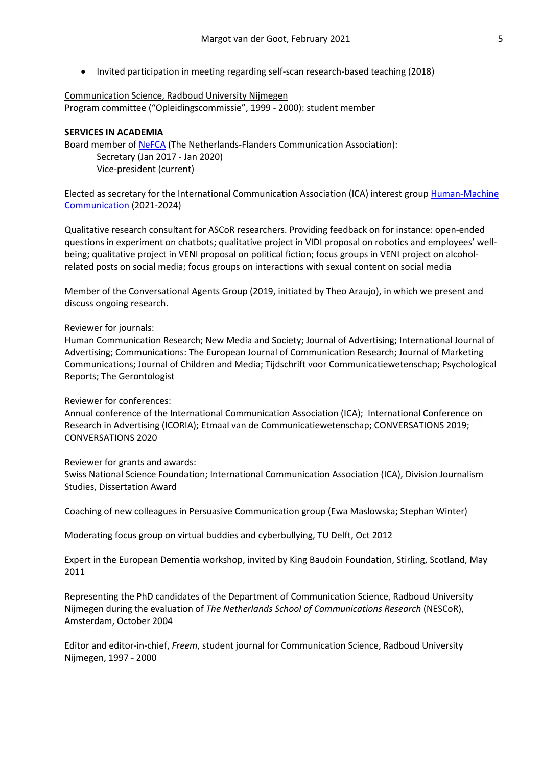• Invited participation in meeting regarding self-scan research-based teaching (2018)

# Communication Science, Radboud University Nijmegen Program committee ("Opleidingscommissie", 1999 - 2000): student member

## **SERVICES IN ACADEMIA**

Board member of [NeFCA](https://nefca.eu/) (The Netherlands-Flanders Communication Association): Secretary (Jan 2017 - Jan 2020) Vice-president (current)

Elected as secretary for the International Communication Association (ICA) interest group [Human-Machine](https://humanmachinecommunication.com/)  [Communication](https://humanmachinecommunication.com/) (2021-2024)

Qualitative research consultant for ASCoR researchers. Providing feedback on for instance: open-ended questions in experiment on chatbots; qualitative project in VIDI proposal on robotics and employees' wellbeing; qualitative project in VENI proposal on political fiction; focus groups in VENI project on alcoholrelated posts on social media; focus groups on interactions with sexual content on social media

Member of the Conversational Agents Group (2019, initiated by Theo Araujo), in which we present and discuss ongoing research.

### Reviewer for journals:

Human Communication Research; New Media and Society; Journal of Advertising; International Journal of Advertising; Communications: The European Journal of Communication Research; Journal of Marketing Communications; Journal of Children and Media; Tijdschrift voor Communicatiewetenschap; Psychological Reports; The Gerontologist

## Reviewer for conferences:

Annual conference of the International Communication Association (ICA); International Conference on Research in Advertising (ICORIA); Etmaal van de Communicatiewetenschap; CONVERSATIONS 2019; CONVERSATIONS 2020

### Reviewer for grants and awards:

Swiss National Science Foundation; International Communication Association (ICA), Division Journalism Studies, Dissertation Award

Coaching of new colleagues in Persuasive Communication group (Ewa Maslowska; Stephan Winter)

Moderating focus group on virtual buddies and cyberbullying, TU Delft, Oct 2012

Expert in the European Dementia workshop, invited by King Baudoin Foundation, Stirling, Scotland, May 2011

Representing the PhD candidates of the Department of Communication Science, Radboud University Nijmegen during the evaluation of *The Netherlands School of Communications Research* (NESCoR), Amsterdam, October 2004

Editor and editor-in-chief, *Freem*, student journal for Communication Science, Radboud University Nijmegen, 1997 - 2000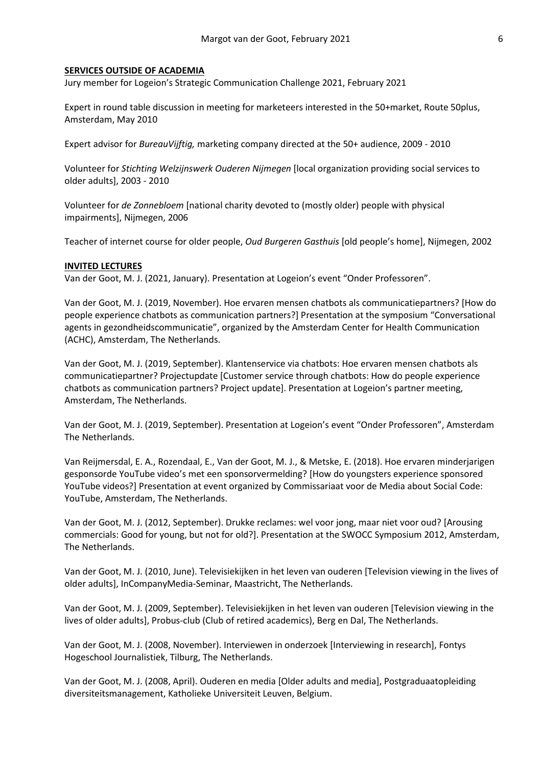### **SERVICES OUTSIDE OF ACADEMIA**

Jury member for Logeion's Strategic Communication Challenge 2021, February 2021

Expert in round table discussion in meeting for marketeers interested in the 50+market, Route 50plus, Amsterdam, May 2010

Expert advisor for *BureauVijftig,* marketing company directed at the 50+ audience, 2009 - 2010

Volunteer for *Stichting Welzijnswerk Ouderen Nijmegen* [local organization providing social services to older adults], 2003 - 2010

Volunteer for *de Zonnebloem* [national charity devoted to (mostly older) people with physical impairments], Nijmegen, 2006

Teacher of internet course for older people, *Oud Burgeren Gasthuis* [old people's home], Nijmegen, 2002

### **INVITED LECTURES**

Van der Goot, M. J. (2021, January). Presentation at Logeion's event "Onder Professoren".

Van der Goot, M. J. (2019, November). Hoe ervaren mensen chatbots als communicatiepartners? [How do people experience chatbots as communication partners?] Presentation at the symposium "Conversational agents in gezondheidscommunicatie", organized by the Amsterdam Center for Health Communication (ACHC), Amsterdam, The Netherlands.

Van der Goot, M. J. (2019, September). Klantenservice via chatbots: Hoe ervaren mensen chatbots als communicatiepartner? Projectupdate [Customer service through chatbots: How do people experience chatbots as communication partners? Project update]. Presentation at Logeion's partner meeting, Amsterdam, The Netherlands.

Van der Goot, M. J. (2019, September). Presentation at Logeion's event "Onder Professoren", Amsterdam The Netherlands.

Van Reijmersdal, E. A., Rozendaal, E., Van der Goot, M. J., & Metske, E. (2018). Hoe ervaren minderjarigen gesponsorde YouTube video's met een sponsorvermelding? [How do youngsters experience sponsored YouTube videos?] Presentation at event organized by Commissariaat voor de Media about Social Code: YouTube, Amsterdam, The Netherlands.

Van der Goot, M. J. (2012, September). Drukke reclames: wel voor jong, maar niet voor oud? [Arousing commercials: Good for young, but not for old?]. Presentation at the SWOCC Symposium 2012, Amsterdam, The Netherlands.

Van der Goot, M. J. (2010, June). Televisiekijken in het leven van ouderen [Television viewing in the lives of older adults], InCompanyMedia-Seminar, Maastricht, The Netherlands.

Van der Goot, M. J. (2009, September). Televisiekijken in het leven van ouderen [Television viewing in the lives of older adults], Probus-club (Club of retired academics), Berg en Dal, The Netherlands.

Van der Goot, M. J. (2008, November). Interviewen in onderzoek [Interviewing in research], Fontys Hogeschool Journalistiek, Tilburg, The Netherlands.

Van der Goot, M. J. (2008, April). Ouderen en media [Older adults and media], Postgraduaatopleiding diversiteitsmanagement, Katholieke Universiteit Leuven, Belgium.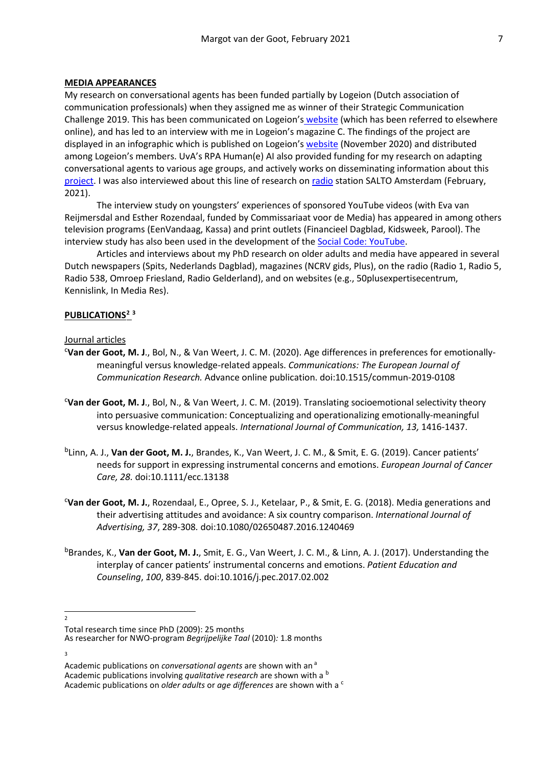### **MEDIA APPEARANCES**

My research on conversational agents has been funded partially by Logeion (Dutch association of communication professionals) when they assigned me as winner of their Strategic Communication Challenge 2019. This has been communicated on Logeion's [website](https://www.logeion.nl/k/n1704/news/view/216806/102549/onderzoek-naar-chatbots-wint-strategische-communicatie-challenge.html) (which has been referred to elsewhere online), and has led to an interview with me in Logeion's magazine C. The findings of the project are displayed in an infographic which is published on Logeion'[s website](https://www.logeion.nl/k/n1704/news/view/318616/129574/resultaten-van-onderzoek-naar-ervaring-van-klanten-met-communicatie-door-een-chatbot-bekend.html) (November 2020) and distributed among Logeion's members. UvA's RPA Human(e) AI also provided funding for my research on adapting conversational agents to various age groups, and actively works on disseminating information about this [project.](https://humane-ai.nl/seed-funded-projects-2020-2021/exploring-adaptation-of-conversational-systems-to-different-age-groups/) I was also interviewed about this line of research o[n radio](https://www.salto.nl/programma/in-de-platenkast-van/) station SALTO Amsterdam (February, 2021).

The interview study on youngsters' experiences of sponsored YouTube videos (with Eva van Reijmersdal and Esther Rozendaal, funded by Commissariaat voor de Media) has appeared in among others television programs (EenVandaag, Kassa) and print outlets (Financieel Dagblad, Kidsweek, Parool). The interview study has also been used in the development of the [Social Code: YouTube.](https://www.desocialcode.nl/)

Articles and interviews about my PhD research on older adults and media have appeared in several Dutch newspapers (Spits, Nederlands Dagblad), magazines (NCRV gids, Plus), on the radio (Radio 1, Radio 5, Radio 538, Omroep Friesland, Radio Gelderland), and on websites (e.g., 50plusexpertisecentrum, Kennislink, In Media Res).

### **PUBLICATIONS[2](#page-6-0) [3](#page-6-1)**

### Journal articles

- c **Van der Goot, M. J**., Bol, N., & Van Weert, J. C. M. (2020). Age differences in preferences for emotionallymeaningful versus knowledge-related appeals. *Communications: The European Journal of Communication Research.* Advance online publication. doi:10.1515/commun-2019-0108
- c **Van der Goot, M. J**., Bol, N., & Van Weert, J. C. M. (2019). Translating socioemotional selectivity theory into persuasive communication: Conceptualizing and operationalizing emotionally-meaningful versus knowledge-related appeals. *International Journal of Communication, 13,* 1416-1437.
- bLinn, A. J., **Van der Goot, M. J.**, Brandes, K., Van Weert, J. C. M., & Smit, E. G. (2019). Cancer patients' needs for support in expressing instrumental concerns and emotions. *European Journal of Cancer Care, 28.* doi:10.1111/ecc.13138
- c **Van der Goot, M. J.**, Rozendaal, E., Opree, S. J., Ketelaar, P., & Smit, E. G. (2018). Media generations and their advertising attitudes and avoidance: A six country comparison. *International Journal of Advertising, 37*, 289-308*.* doi:10.1080/02650487.2016.1240469
- <sup>b</sup>Brandes, K., Van der Goot, M. J., Smit, E. G., Van Weert, J. C. M., & Linn, A. J. (2017). Understanding the interplay of cancer patients' instrumental concerns and emotions. *Patient Education and Counseling*, *100*, 839-845. doi:10.1016/j.pec.2017.02.002
- <span id="page-6-0"></span> $\overline{2}$

<span id="page-6-1"></span>3

Total research time since PhD (2009): 25 months

As researcher for NWO-program *Begrijpelijke Taal* (2010)*:* 1.8 months

Academic publications on *conversational agents* are shown with an <sup>a</sup> Academic publications involving *qualitative research* are shown with a <sup>b</sup> Academic publications on *older adults* or *age differences* are shown with a <sup>c</sup>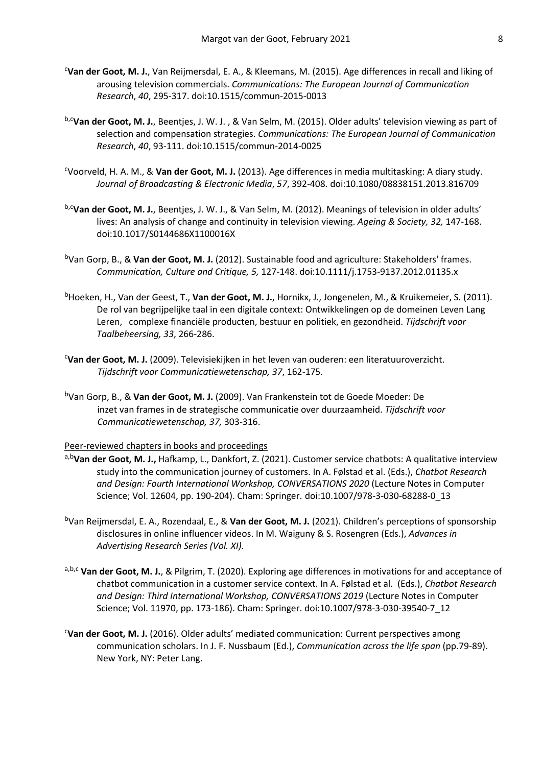- c **Van der Goot, M. J.**, Van Reijmersdal, E. A., & Kleemans, M. (2015). Age differences in recall and liking of arousing television commercials. *Communications: The European Journal of Communication Research*, *40*, 295-317. doi:10.1515/commun-2015-0013
- b,c**Van der Goot, M. J.**, Beentjes, J. W. J. , & Van Selm, M. (2015). Older adults' television viewing as part of selection and compensation strategies. *Communications: The European Journal of Communication Research*, *40*, 93-111. doi:10.1515/commun-2014-0025
- c Voorveld, H. A. M., & **Van der Goot, M. J.** (2013). Age differences in media multitasking: A diary study. *Journal of Broadcasting & Electronic Media*, *57*, 392-408. doi:10.1080/08838151.2013.816709
- b,c**Van der Goot, M. J.**, Beentjes, J. W. J., & Van Selm, M. (2012). Meanings of television in older adults' lives: An analysis of change and continuity in television viewing. *Ageing & Society, 32,* 147-168. doi:10.1017/S0144686X1100016X
- bVan Gorp, B., & **Van der Goot, M. J.** (2012). Sustainable food and agriculture: Stakeholders' frames. *Communication, Culture and Critique, 5,* 127-148. doi:10.1111/j.1753-9137.2012.01135.x
- bHoeken, H., Van der Geest, T., **Van der Goot, M. J.**, Hornikx, J., Jongenelen, M., & Kruikemeier, S. (2011). De rol van begrijpelijke taal in een digitale context: Ontwikkelingen op de domeinen Leven Lang Leren, complexe financiële producten, bestuur en politiek, en gezondheid. *Tijdschrift voor Taalbeheersing, 33*, 266-286.
- c **Van der Goot, M. J.** (2009). Televisiekijken in het leven van ouderen: een literatuuroverzicht. *Tijdschrift voor Communicatiewetenschap, 37*, 162-175.
- bVan Gorp, B., & **Van der Goot, M. J.** (2009). Van Frankenstein tot de Goede Moeder: De inzet van frames in de strategische communicatie over duurzaamheid. *Tijdschrift voor Communicatiewetenschap, 37,* 303-316.

Peer-reviewed chapters in books and proceedings

- a,b**Van der Goot, M. J.,** Hafkamp, L., Dankfort, Z. (2021). Customer service chatbots: A qualitative interview study into the communication journey of customers. In A. Følstad et al. (Eds.), *Chatbot Research and Design: Fourth International Workshop, CONVERSATIONS 2020* (Lecture Notes in Computer Science; Vol. 12604, pp. 190-204). Cham: Springer. doi:10.1007/978-3-030-68288-0\_13
- bVan Reijmersdal, E. A., Rozendaal, E., & **Van der Goot, M. J.** (2021). Children's perceptions of sponsorship disclosures in online influencer videos. In M. Waiguny & S. Rosengren (Eds.), *Advances in Advertising Research Series (Vol. XI).*
- a,b,c **Van der Goot, M. J.**, & Pilgrim, T. (2020). Exploring age differences in motivations for and acceptance of chatbot communication in a customer service context. In A. Følstad et al. (Eds.), *Chatbot Research and Design: Third International Workshop, CONVERSATIONS 2019* (Lecture Notes in Computer Science; Vol. 11970, pp. 173-186). Cham: Springer. doi:10.1007/978-3-030-39540-7\_12
- c **Van der Goot, M. J.** (2016). Older adults' mediated communication: Current perspectives among communication scholars. In J. F. Nussbaum (Ed.), *Communication across the life span* (pp.79-89). New York, NY: Peter Lang.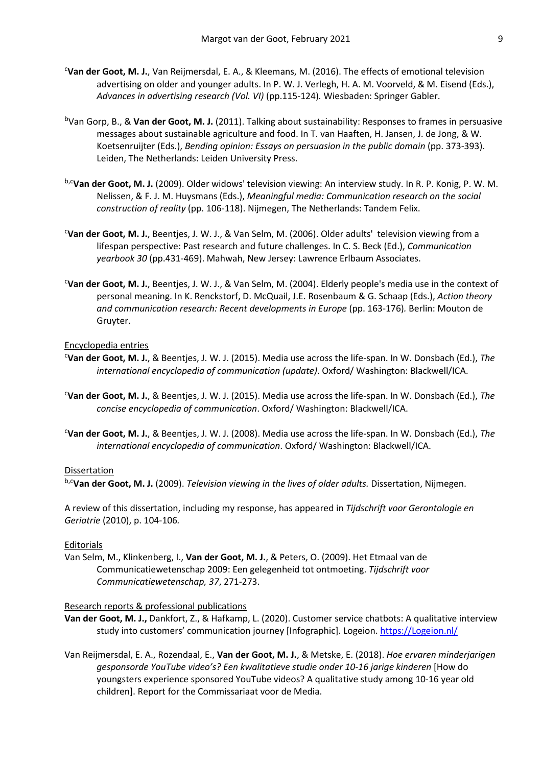- c **Van der Goot, M. J.**, Van Reijmersdal, E. A., & Kleemans, M. (2016). The effects of emotional television advertising on older and younger adults. In P. W. J. Verlegh, H. A. M. Voorveld, & M. Eisend (Eds.), *Advances in advertising research (Vol. VI)* (pp.115-124)*.* Wiesbaden: Springer Gabler.
- bVan Gorp, B., & **Van der Goot, M. J.** (2011). Talking about sustainability: Responses to frames in persuasive messages about sustainable agriculture and food. In T. van Haaften, H. Jansen, J. de Jong, & W. Koetsenruijter (Eds.), *Bending opinion: Essays on persuasion in the public domain* (pp. 373-393). Leiden, The Netherlands: Leiden University Press.
- b,c**Van der Goot, M. J.** (2009). Older widows' television viewing: An interview study. In R. P. Konig, P. W. M. Nelissen, & F. J. M. Huysmans (Eds.), *Meaningful media: Communication research on the social construction of reality* (pp. 106-118). Nijmegen, The Netherlands: Tandem Felix.
- c **Van der Goot, M. J.**, Beentjes, J. W. J., & Van Selm, M. (2006). Older adults' television viewing from a lifespan perspective: Past research and future challenges. In C. S. Beck (Ed.), *Communication yearbook 30* (pp.431-469). Mahwah, New Jersey: Lawrence Erlbaum Associates.
- c **Van der Goot, M. J.**, Beentjes, J. W. J., & Van Selm, M. (2004). Elderly people's media use in the context of personal meaning. In K. Renckstorf, D. McQuail, J.E. Rosenbaum & G. Schaap (Eds.), *Action theory and communication research: Recent developments in Europe* (pp. 163-176)*.* Berlin: Mouton de Gruyter.

### Encyclopedia entries

- c **Van der Goot, M. J.**, & Beentjes, J. W. J. (2015). Media use across the life-span. In W. Donsbach (Ed.), *The international encyclopedia of communication (update)*. Oxford/ Washington: Blackwell/ICA.
- c **Van der Goot, M. J.**, & Beentjes, J. W. J. (2015). Media use across the life-span. In W. Donsbach (Ed.), *The concise encyclopedia of communication*. Oxford/ Washington: Blackwell/ICA.
- c **Van der Goot, M. J.**, & Beentjes, J. W. J. (2008). Media use across the life-span. In W. Donsbach (Ed.), *The international encyclopedia of communication*. Oxford/ Washington: Blackwell/ICA.

### **Dissertation**

b,c**Van der Goot, M. J.** (2009). *Television viewing in the lives of older adults.* Dissertation, Nijmegen.

A review of this dissertation, including my response, has appeared in *Tijdschrift voor Gerontologie en Geriatrie* (2010), p. 104-106*.* 

## Editorials

Van Selm, M., Klinkenberg, I., **Van der Goot, M. J.**, & Peters, O. (2009). Het Etmaal van de Communicatiewetenschap 2009: Een gelegenheid tot ontmoeting. *Tijdschrift voor Communicatiewetenschap, 37*, 271-273.

## Research reports & professional publications

- **Van der Goot, M. J.,** Dankfort, Z., & Hafkamp, L. (2020). Customer service chatbots: A qualitative interview study into customers' communication journey [Infographic]. Logeion[. https://Logeion.nl/](https://www.logeion.nl/k/n1704/news/view/318616/129574/resultaten-van-onderzoek-naar-ervaring-van-klanten-met-communicatie-door-een-chatbot-bekend.html)
- Van Reijmersdal, E. A., Rozendaal, E., **Van der Goot, M. J.**, & Metske, E. (2018). *Hoe ervaren minderjarigen gesponsorde YouTube video's? Een kwalitatieve studie onder 10-16 jarige kinderen* [How do youngsters experience sponsored YouTube videos? A qualitative study among 10-16 year old children]. Report for the Commissariaat voor de Media.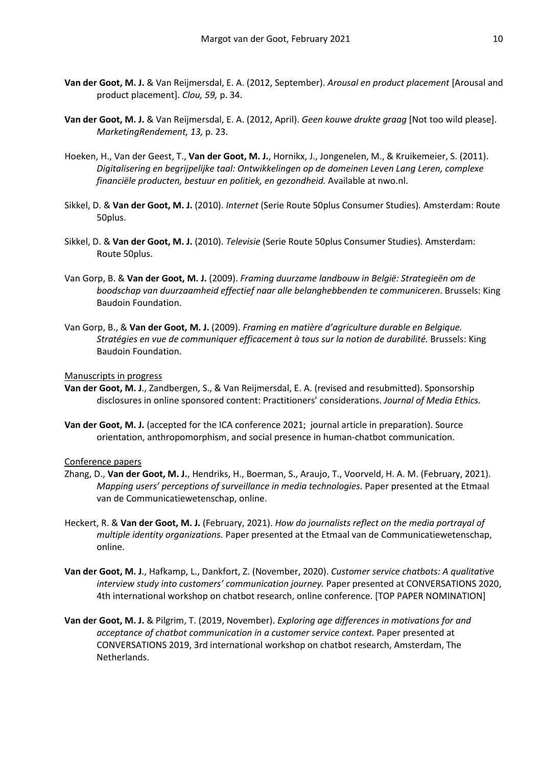- **Van der Goot, M. J.** & Van Reijmersdal, E. A. (2012, September). *Arousal en product placement* [Arousal and product placement]. *Clou, 59,* p. 34.
- **Van der Goot, M. J.** & Van Reijmersdal, E. A. (2012, April). *Geen kouwe drukte graag* [Not too wild please]. *MarketingRendement, 13,* p. 23.
- Hoeken, H., Van der Geest, T., **Van der Goot, M. J.**, Hornikx, J., Jongenelen, M., & Kruikemeier, S. (2011). *Digitalisering en begrijpelijke taal: Ontwikkelingen op de domeinen Leven Lang Leren, complexe financiële producten, bestuur en politiek, en gezondheid.* Available at nwo.nl.
- Sikkel, D. & **Van der Goot, M. J.** (2010). *Internet* (Serie Route 50plus Consumer Studies)*.* Amsterdam: Route 50plus.
- Sikkel, D. & **Van der Goot, M. J.** (2010). *Televisie* (Serie Route 50plus Consumer Studies)*.* Amsterdam: Route 50plus.
- Van Gorp, B. & **Van der Goot, M. J.** (2009). *Framing duurzame landbouw in België: Strategieën om de boodschap van duurzaamheid effectief naar alle belanghebbenden te communiceren*. Brussels: King Baudoin Foundation.
- Van Gorp, B., & **Van der Goot, M. J.** (2009). *Framing en matière d'agriculture durable en Belgique. Stratégies en vue de communiquer efficacement à tous sur la notion de durabilité.* Brussels: King Baudoin Foundation.

#### Manuscripts in progress

- **Van der Goot, M. J**., Zandbergen, S., & Van Reijmersdal, E. A. (revised and resubmitted). Sponsorship disclosures in online sponsored content: Practitioners' considerations. *Journal of Media Ethics.*
- **Van der Goot, M. J.** (accepted for the ICA conference 2021; journal article in preparation). Source orientation, anthropomorphism, and social presence in human-chatbot communication.

#### Conference papers

- Zhang, D., **Van der Goot, M. J.**, Hendriks, H., Boerman, S., Araujo, T., Voorveld, H. A. M. (February, 2021). *Mapping users' perceptions of surveillance in media technologies.* Paper presented at the Etmaal van de Communicatiewetenschap, online.
- Heckert, R. & **Van der Goot, M. J.** (February, 2021). *How do journalists reflect on the media portrayal of multiple identity organizations.* Paper presented at the Etmaal van de Communicatiewetenschap, online.
- **Van der Goot, M. J**., Hafkamp, L., Dankfort, Z. (November, 2020). *Customer service chatbots: A qualitative interview study into customers' communication journey.* Paper presented at CONVERSATIONS 2020, 4th international workshop on chatbot research, online conference. [TOP PAPER NOMINATION]
- **Van der Goot, M. J.** & Pilgrim, T. (2019, November). *Exploring age differences in motivations for and acceptance of chatbot communication in a customer service context.* Paper presented at CONVERSATIONS 2019, 3rd international workshop on chatbot research, Amsterdam, The Netherlands.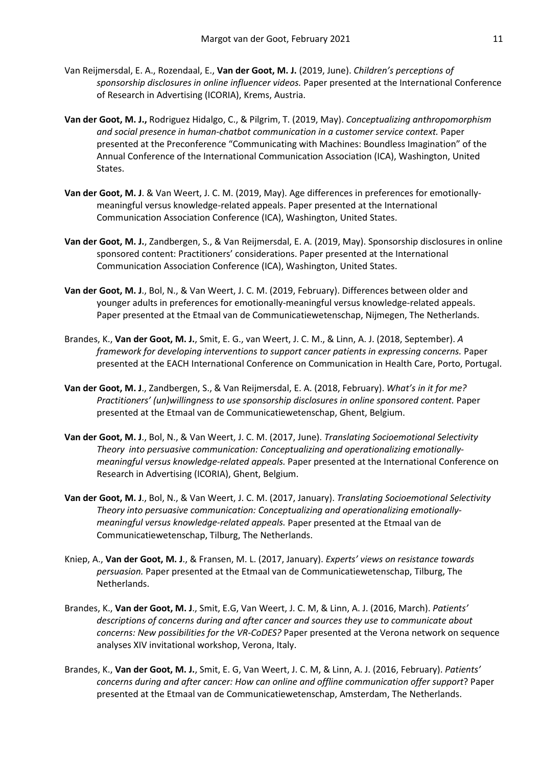- Van Reijmersdal, E. A., Rozendaal, E., **Van der Goot, M. J.** (2019, June). *Children's perceptions of sponsorship disclosures in online influencer videos.* Paper presented at the International Conference of Research in Advertising (ICORIA), Krems, Austria.
- **Van der Goot, M. J.,** Rodriguez Hidalgo, C., & Pilgrim, T. (2019, May). *Conceptualizing anthropomorphism and social presence in human-chatbot communication in a customer service context.* Paper presented at the Preconference "Communicating with Machines: Boundless Imagination" of the Annual Conference of the International Communication Association (ICA), Washington, United States.
- **Van der Goot, M. J**. & Van Weert, J. C. M. (2019, May). Age differences in preferences for emotionallymeaningful versus knowledge-related appeals. Paper presented at the International Communication Association Conference (ICA), Washington, United States.
- **Van der Goot, M. J.**, Zandbergen, S., & Van Reijmersdal, E. A. (2019, May). Sponsorship disclosures in online sponsored content: Practitioners' considerations. Paper presented at the International Communication Association Conference (ICA), Washington, United States.
- **Van der Goot, M. J**., Bol, N., & Van Weert, J. C. M. (2019, February). Differences between older and younger adults in preferences for emotionally-meaningful versus knowledge-related appeals. Paper presented at the Etmaal van de Communicatiewetenschap, Nijmegen, The Netherlands.
- Brandes, K., **Van der Goot, M. J.**, Smit, E. G., van Weert, J. C. M., & Linn, A. J. (2018, September). *A framework for developing interventions to support cancer patients in expressing concerns.* Paper presented at the EACH International Conference on Communication in Health Care, Porto, Portugal.
- **Van der Goot, M. J**., Zandbergen, S., & Van Reijmersdal, E. A. (2018, February). *What's in it for me? Practitioners' (un)willingness to use sponsorship disclosures in online sponsored content.* Paper presented at the Etmaal van de Communicatiewetenschap, Ghent, Belgium.
- **Van der Goot, M. J**., Bol, N., & Van Weert, J. C. M. (2017, June). *Translating Socioemotional Selectivity Theory into persuasive communication: Conceptualizing and operationalizing emotionallymeaningful versus knowledge-related appeals.* Paper presented at the International Conference on Research in Advertising (ICORIA), Ghent, Belgium.
- **Van der Goot, M. J**., Bol, N., & Van Weert, J. C. M. (2017, January). *Translating Socioemotional Selectivity Theory into persuasive communication: Conceptualizing and operationalizing emotionallymeaningful versus knowledge-related appeals.* Paper presented at the Etmaal van de Communicatiewetenschap, Tilburg, The Netherlands.
- Kniep, A., **Van der Goot, M. J**., & Fransen, M. L. (2017, January). *Experts' views on resistance towards persuasion.* Paper presented at the Etmaal van de Communicatiewetenschap, Tilburg, The Netherlands.
- Brandes, K., **Van der Goot, M. J**., Smit, E.G, Van Weert, J. C. M, & Linn, A. J. (2016, March). *Patients' descriptions of concerns during and after cancer and sources they use to communicate about concerns: New possibilities for the VR-CoDES?* Paper presented at the [Verona network on sequence](javascript:void(0);)  [analyses XIV invitational workshop,](javascript:void(0);) Verona, Italy.
- Brandes, K., **Van der Goot, M. J.**, Smit, E. G, Van Weert, J. C. M, & Linn, A. J. (2016, February). *Patients' concerns during and after cancer: How can online and offline communication offer support*? Paper presented at the Etmaal van de Communicatiewetenschap, Amsterdam, The Netherlands.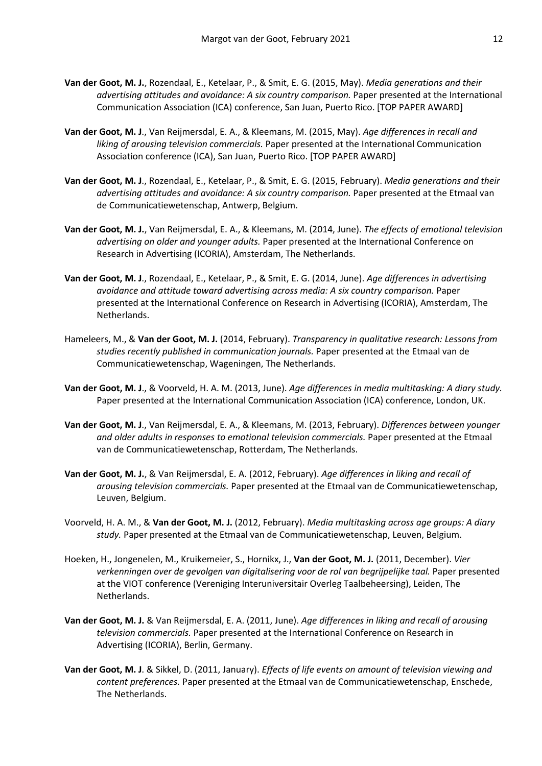- **Van der Goot, M. J.**, Rozendaal, E., Ketelaar, P., & Smit, E. G. (2015, May). *Media generations and their advertising attitudes and avoidance: A six country comparison.* Paper presented at the International Communication Association (ICA) conference, San Juan, Puerto Rico. [TOP PAPER AWARD]
- **Van der Goot, M. J**., Van Reijmersdal, E. A., & Kleemans, M. (2015, May). *Age differences in recall and liking of arousing television commercials.* Paper presented at the International Communication Association conference (ICA), San Juan, Puerto Rico. [TOP PAPER AWARD]
- **Van der Goot, M. J**., Rozendaal, E., Ketelaar, P., & Smit, E. G. (2015, February). *Media generations and their advertising attitudes and avoidance: A six country comparison.* Paper presented at the Etmaal van de Communicatiewetenschap, Antwerp, Belgium.
- **Van der Goot, M. J.**, Van Reijmersdal, E. A., & Kleemans, M. (2014, June). *The effects of emotional television advertising on older and younger adults.* Paper presented at the International Conference on Research in Advertising (ICORIA), Amsterdam, The Netherlands.
- **Van der Goot, M. J**., Rozendaal, E., Ketelaar, P., & Smit, E. G. (2014, June). *Age differences in advertising avoidance and attitude toward advertising across media: A six country comparison.* Paper presented at the International Conference on Research in Advertising (ICORIA), Amsterdam, The Netherlands.
- Hameleers, M., & **Van der Goot, M. J.** (2014, February). *Transparency in qualitative research: Lessons from studies recently published in communication journals.* Paper presented at the Etmaal van de Communicatiewetenschap, Wageningen, The Netherlands.
- **Van der Goot, M. J**., & Voorveld, H. A. M. (2013, June). *Age differences in media multitasking: A diary study.*  Paper presented at the International Communication Association (ICA) conference, London, UK.
- **Van der Goot, M. J**., Van Reijmersdal, E. A., & Kleemans, M. (2013, February). *Differences between younger and older adults in responses to emotional television commercials.* Paper presented at the Etmaal van de Communicatiewetenschap, Rotterdam, The Netherlands.
- **Van der Goot, M. J.**, & Van Reijmersdal, E. A. (2012, February). *Age differences in liking and recall of arousing television commercials.* Paper presented at the Etmaal van de Communicatiewetenschap, Leuven, Belgium.
- Voorveld, H. A. M., & **Van der Goot, M. J.** (2012, February). *Media multitasking across age groups: A diary study.* Paper presented at the Etmaal van de Communicatiewetenschap, Leuven, Belgium.
- Hoeken, H., Jongenelen, M., Kruikemeier, S., Hornikx, J., **Van der Goot, M. J.** (2011, December). *Vier verkenningen over de gevolgen van digitalisering voor de rol van begrijpelijke taal.* Paper presented at the VIOT conference (Vereniging Interuniversitair Overleg Taalbeheersing), Leiden, The Netherlands.
- **Van der Goot, M. J.** & Van Reijmersdal, E. A. (2011, June). *Age differences in liking and recall of arousing television commercials.* Paper presented at the International Conference on Research in Advertising (ICORIA), Berlin, Germany.
- **Van der Goot, M. J**. & Sikkel, D. (2011, January). *Effects of life events on amount of television viewing and content preferences.* Paper presented at the Etmaal van de Communicatiewetenschap, Enschede, The Netherlands.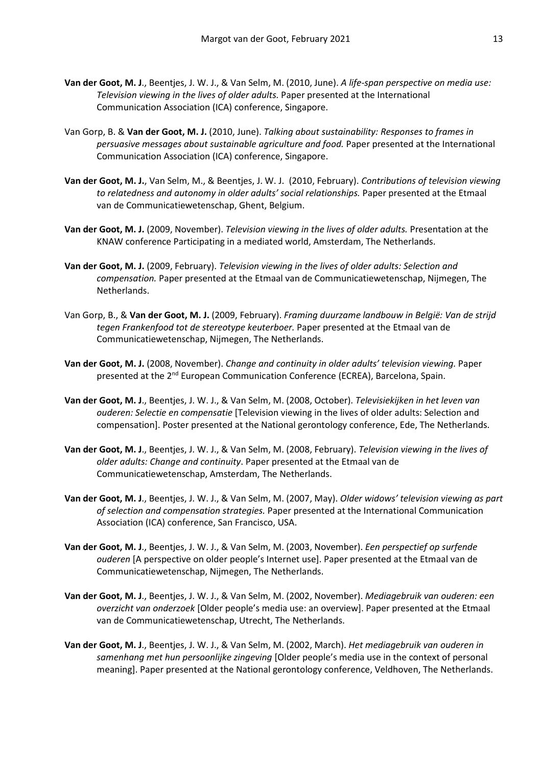- **Van der Goot, M. J**., Beentjes, J. W. J., & Van Selm, M. (2010, June). *A life-span perspective on media use: Television viewing in the lives of older adults.* Paper presented at the International Communication Association (ICA) conference, Singapore.
- Van Gorp, B. & **Van der Goot, M. J.** (2010, June). *Talking about sustainability: Responses to frames in persuasive messages about sustainable agriculture and food.* Paper presented at the International Communication Association (ICA) conference, Singapore.
- **Van der Goot, M. J.**, Van Selm, M., & Beentjes, J. W. J. (2010, February). *Contributions of television viewing to relatedness and autonomy in older adults' social relationships.* Paper presented at the Etmaal van de Communicatiewetenschap, Ghent, Belgium.
- **Van der Goot, M. J.** (2009, November). *Television viewing in the lives of older adults.* Presentation at the KNAW conference Participating in a mediated world, Amsterdam, The Netherlands.
- **Van der Goot, M. J.** (2009, February). *Television viewing in the lives of older adults: Selection and compensation.* Paper presented at the Etmaal van de Communicatiewetenschap, Nijmegen, The Netherlands.
- Van Gorp, B., & **Van der Goot, M. J.** (2009, February). *Framing duurzame landbouw in België: Van de strijd tegen Frankenfood tot de stereotype keuterboer.* Paper presented at the Etmaal van de Communicatiewetenschap, Nijmegen, The Netherlands.
- **Van der Goot, M. J.** (2008, November). *Change and continuity in older adults' television viewing.* Paper presented at the 2<sup>nd</sup> European Communication Conference (ECREA), Barcelona, Spain.
- **Van der Goot, M. J**., Beentjes, J. W. J., & Van Selm, M. (2008, October). *Televisiekijken in het leven van ouderen: Selectie en compensatie* [Television viewing in the lives of older adults: Selection and compensation]. Poster presented at the National gerontology conference, Ede, The Netherlands.
- **Van der Goot, M. J**., Beentjes, J. W. J., & Van Selm, M. (2008, February). *Television viewing in the lives of older adults: Change and continuity*. Paper presented at the Etmaal van de Communicatiewetenschap, Amsterdam, The Netherlands.
- **Van der Goot, M. J**., Beentjes, J. W. J., & Van Selm, M. (2007, May). *Older widows' television viewing as part of selection and compensation strategies.* Paper presented at the International Communication Association (ICA) conference, San Francisco, USA.
- **Van der Goot, M. J**., Beentjes, J. W. J., & Van Selm, M. (2003, November). *Een perspectief op surfende ouderen* [A perspective on older people's Internet use]. Paper presented at the Etmaal van de Communicatiewetenschap, Nijmegen, The Netherlands.
- **Van der Goot, M. J**., Beentjes, J. W. J., & Van Selm, M. (2002, November). *Mediagebruik van ouderen: een overzicht van onderzoek* [Older people's media use: an overview]. Paper presented at the Etmaal van de Communicatiewetenschap, Utrecht, The Netherlands.
- **Van der Goot, M. J**., Beentjes, J. W. J., & Van Selm, M. (2002, March). *Het mediagebruik van ouderen in samenhang met hun persoonlijke zingeving* [Older people's media use in the context of personal meaning]. Paper presented at the National gerontology conference, Veldhoven, The Netherlands.